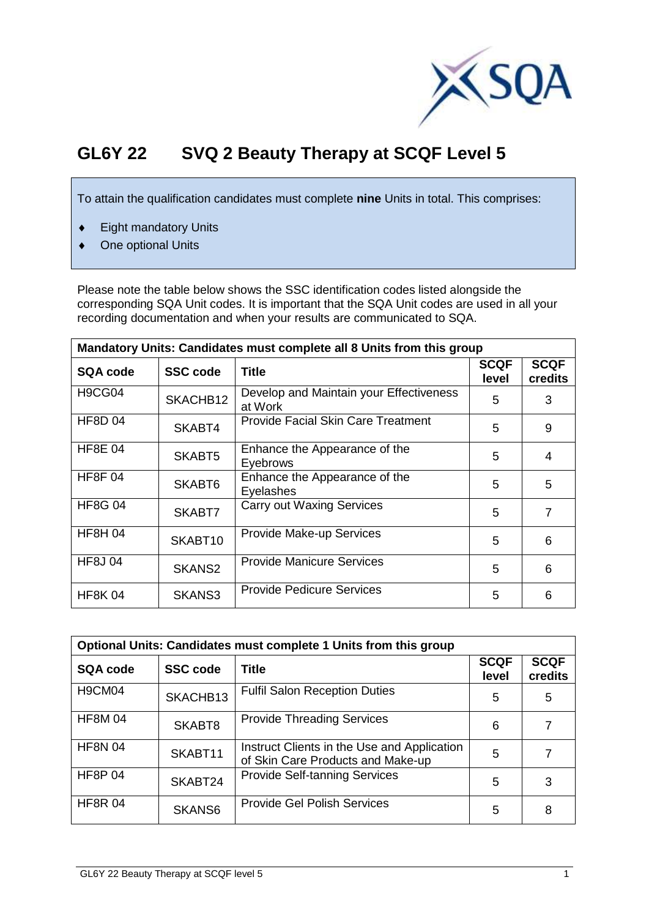

## **GL6Y 22 SVQ 2 Beauty Therapy at SCQF Level 5**

To attain the qualification candidates must complete **nine** Units in total. This comprises:

- Eight mandatory Units
- ◆ One optional Units

Please note the table below shows the SSC identification codes listed alongside the corresponding SQA Unit codes. It is important that the SQA Unit codes are used in all your recording documentation and when your results are communicated to SQA.

| Mandatory Units: Candidates must complete all 8 Units from this group |                 |                                                    |                      |                        |  |  |  |  |
|-----------------------------------------------------------------------|-----------------|----------------------------------------------------|----------------------|------------------------|--|--|--|--|
| <b>SQA code</b>                                                       | <b>SSC code</b> | <b>Title</b>                                       | <b>SCQF</b><br>level | <b>SCQF</b><br>credits |  |  |  |  |
| H9CG04                                                                | SKACHB12        | Develop and Maintain your Effectiveness<br>at Work | 5                    | 3                      |  |  |  |  |
| <b>HF8D 04</b>                                                        | SKABT4          | <b>Provide Facial Skin Care Treatment</b>          | 5                    | 9                      |  |  |  |  |
| <b>HF8E 04</b>                                                        | SKABT5          | Enhance the Appearance of the<br>Eyebrows          | 5                    | 4                      |  |  |  |  |
| <b>HF8F04</b>                                                         | SKABT6          | Enhance the Appearance of the<br>Eyelashes         | 5                    | 5                      |  |  |  |  |
| <b>HF8G04</b>                                                         | SKABT7          | <b>Carry out Waxing Services</b>                   | 5                    | 7                      |  |  |  |  |
| <b>HF8H 04</b>                                                        | SKABT10         | Provide Make-up Services                           | 5                    | 6                      |  |  |  |  |
| <b>HF8J04</b>                                                         | SKANS2          | <b>Provide Manicure Services</b>                   | 5                    | 6                      |  |  |  |  |
| <b>HF8K04</b>                                                         | SKANS3          | <b>Provide Pedicure Services</b>                   | 5                    | 6                      |  |  |  |  |

| Optional Units: Candidates must complete 1 Units from this group |                 |                                                                                  |                      |                        |  |  |  |  |
|------------------------------------------------------------------|-----------------|----------------------------------------------------------------------------------|----------------------|------------------------|--|--|--|--|
| <b>SQA code</b>                                                  | <b>SSC code</b> | <b>Title</b>                                                                     | <b>SCQF</b><br>level | <b>SCQF</b><br>credits |  |  |  |  |
| H9CM04                                                           | SKACHB13        | <b>Fulfil Salon Reception Duties</b>                                             | 5                    | 5                      |  |  |  |  |
| <b>HF8M04</b>                                                    | SKABT8          | <b>Provide Threading Services</b>                                                | 6                    |                        |  |  |  |  |
| <b>HF8N 04</b>                                                   | SKABT11         | Instruct Clients in the Use and Application<br>of Skin Care Products and Make-up | 5                    |                        |  |  |  |  |
| <b>HF8P 04</b>                                                   | SKABT24         | <b>Provide Self-tanning Services</b>                                             | 5                    | 3                      |  |  |  |  |
| <b>HF8R 04</b>                                                   | SKANS6          | <b>Provide Gel Polish Services</b>                                               | 5                    | 8                      |  |  |  |  |